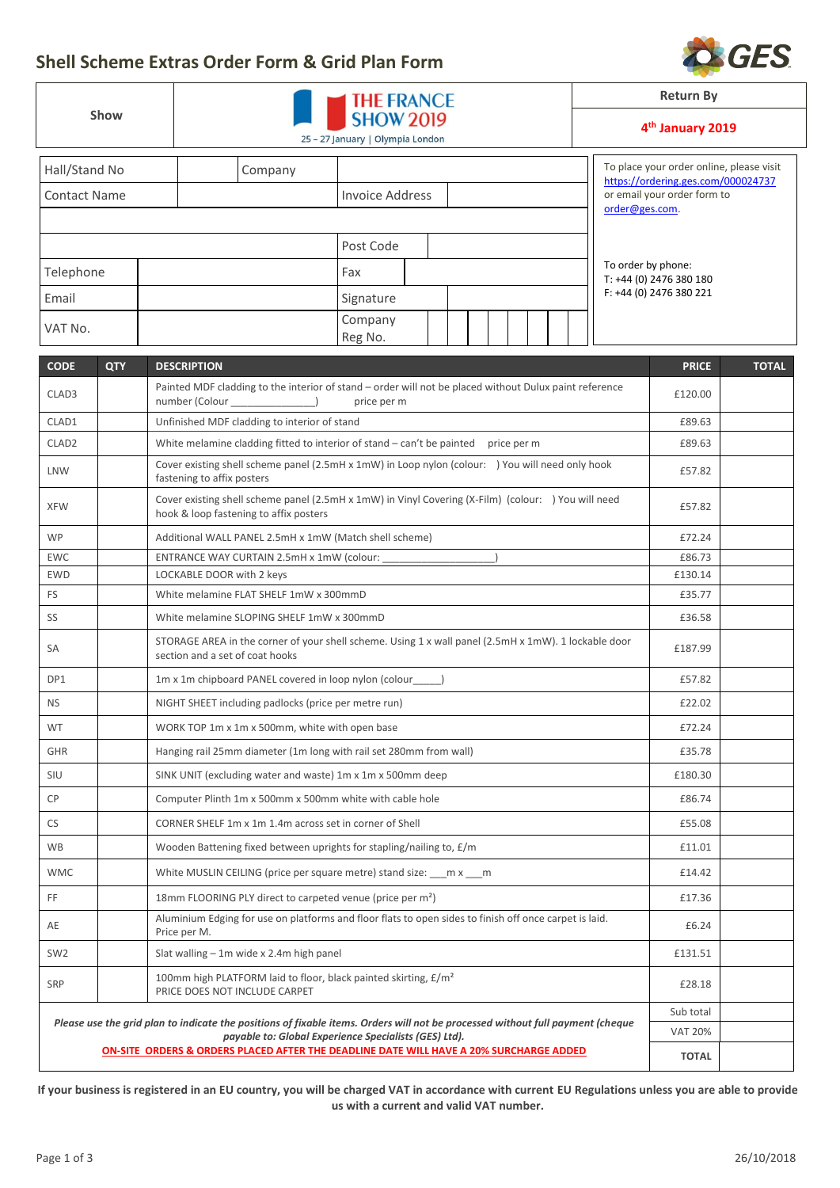

|                           |  |                                                                                                                                               | <b>Return By</b>                                      |                   |  |  |  |                                                                          |                                                                   |                                          |              |  |
|---------------------------|--|-----------------------------------------------------------------------------------------------------------------------------------------------|-------------------------------------------------------|-------------------|--|--|--|--------------------------------------------------------------------------|-------------------------------------------------------------------|------------------------------------------|--------------|--|
| Show                      |  | 25 - 27 January   Olympia London                                                                                                              | 4 <sup>th</sup> January 2019                          |                   |  |  |  |                                                                          |                                                                   |                                          |              |  |
| Hall/Stand No             |  | Company                                                                                                                                       |                                                       |                   |  |  |  |                                                                          |                                                                   | To place your order online, please visit |              |  |
| <b>Contact Name</b>       |  |                                                                                                                                               | <b>Invoice Address</b>                                |                   |  |  |  |                                                                          | https://ordering.ges.com/000024737<br>or email your order form to |                                          |              |  |
|                           |  |                                                                                                                                               |                                                       |                   |  |  |  |                                                                          | order@ges.com.                                                    |                                          |              |  |
|                           |  |                                                                                                                                               | Post Code                                             |                   |  |  |  |                                                                          |                                                                   |                                          |              |  |
| Telephone                 |  |                                                                                                                                               | Fax                                                   |                   |  |  |  | To order by phone:<br>T: +44 (0) 2476 380 180<br>F: +44 (0) 2476 380 221 |                                                                   |                                          |              |  |
|                           |  |                                                                                                                                               |                                                       |                   |  |  |  |                                                                          |                                                                   |                                          |              |  |
| Email                     |  | Signature                                                                                                                                     |                                                       |                   |  |  |  |                                                                          |                                                                   |                                          |              |  |
| VAT No.                   |  |                                                                                                                                               | Company<br>Reg No.                                    |                   |  |  |  |                                                                          |                                                                   |                                          |              |  |
| <b>CODE</b><br><b>QTY</b> |  | <b>DESCRIPTION</b>                                                                                                                            |                                                       |                   |  |  |  |                                                                          |                                                                   | <b>PRICE</b>                             | <b>TOTAL</b> |  |
| CLAD3                     |  | Painted MDF cladding to the interior of stand - order will not be placed without Dulux paint reference                                        |                                                       |                   |  |  |  |                                                                          |                                                                   | £120.00                                  |              |  |
|                           |  | number (Colour ________________)                                                                                                              | price per m                                           |                   |  |  |  |                                                                          |                                                                   |                                          |              |  |
| CLAD1                     |  | Unfinished MDF cladding to interior of stand                                                                                                  |                                                       |                   |  |  |  |                                                                          |                                                                   | £89.63                                   |              |  |
| CLAD <sub>2</sub>         |  | White melamine cladding fitted to interior of stand - can't be painted price per m                                                            |                                                       |                   |  |  |  |                                                                          |                                                                   | £89.63                                   |              |  |
| LNW                       |  | Cover existing shell scheme panel (2.5mH x 1mW) in Loop nylon (colour: ) You will need only hook<br>fastening to affix posters                |                                                       |                   |  |  |  |                                                                          |                                                                   | £57.82                                   |              |  |
| <b>XFW</b>                |  | Cover existing shell scheme panel (2.5mH x 1mW) in Vinyl Covering (X-Film) (colour: ) You will need<br>hook & loop fastening to affix posters |                                                       |                   |  |  |  |                                                                          |                                                                   | £57.82                                   |              |  |
| <b>WP</b>                 |  | Additional WALL PANEL 2.5mH x 1mW (Match shell scheme)                                                                                        |                                                       |                   |  |  |  |                                                                          |                                                                   | £72.24                                   |              |  |
| <b>EWC</b>                |  | ENTRANCE WAY CURTAIN 2.5mH x 1mW (colour: ___________                                                                                         |                                                       |                   |  |  |  |                                                                          |                                                                   | £86.73                                   |              |  |
| <b>EWD</b>                |  | LOCKABLE DOOR with 2 keys                                                                                                                     |                                                       | £130.14<br>£35.77 |  |  |  |                                                                          |                                                                   |                                          |              |  |
| FS                        |  | White melamine FLAT SHELF 1mW x 300mmD                                                                                                        |                                                       |                   |  |  |  |                                                                          |                                                                   |                                          |              |  |
| SS                        |  | White melamine SLOPING SHELF 1mW x 300mmD                                                                                                     |                                                       |                   |  |  |  |                                                                          |                                                                   |                                          |              |  |
| SA                        |  | STORAGE AREA in the corner of your shell scheme. Using 1 x wall panel (2.5mH x 1mW). 1 lockable door<br>section and a set of coat hooks       |                                                       |                   |  |  |  |                                                                          |                                                                   | £187.99                                  |              |  |
| DP1                       |  | 1m x 1m chipboard PANEL covered in loop nylon (colour____)                                                                                    |                                                       |                   |  |  |  |                                                                          |                                                                   | £57.82                                   |              |  |
| <b>NS</b>                 |  | NIGHT SHEET including padlocks (price per metre run)                                                                                          |                                                       |                   |  |  |  |                                                                          |                                                                   |                                          |              |  |
| WT                        |  | WORK TOP 1m x 1m x 500mm, white with open base                                                                                                |                                                       |                   |  |  |  |                                                                          |                                                                   | £72.24                                   |              |  |
| GHR                       |  | Hanging rail 25mm diameter (1m long with rail set 280mm from wall)                                                                            |                                                       |                   |  |  |  |                                                                          |                                                                   | £35.78                                   |              |  |
| SIU                       |  | SINK UNIT (excluding water and waste) 1m x 1m x 500mm deep                                                                                    |                                                       |                   |  |  |  |                                                                          |                                                                   |                                          |              |  |
| CP                        |  | Computer Plinth 1m x 500mm x 500mm white with cable hole                                                                                      |                                                       |                   |  |  |  |                                                                          |                                                                   |                                          |              |  |
| CS                        |  | CORNER SHELF 1m x 1m 1.4m across set in corner of Shell                                                                                       |                                                       |                   |  |  |  |                                                                          |                                                                   |                                          |              |  |
| WB                        |  | Wooden Battening fixed between uprights for stapling/nailing to, £/m                                                                          |                                                       |                   |  |  |  |                                                                          |                                                                   |                                          |              |  |
| <b>WMC</b>                |  | White MUSLIN CEILING (price per square metre) stand size: ___ m x ___ m                                                                       |                                                       |                   |  |  |  |                                                                          |                                                                   |                                          |              |  |
| FF.                       |  | 18mm FLOORING PLY direct to carpeted venue (price per m <sup>2</sup> )                                                                        |                                                       |                   |  |  |  |                                                                          |                                                                   | £17.36                                   |              |  |
| AE                        |  | Aluminium Edging for use on platforms and floor flats to open sides to finish off once carpet is laid.<br>Price per M.                        |                                                       |                   |  |  |  |                                                                          |                                                                   |                                          |              |  |
| SW <sub>2</sub>           |  | Slat walling - 1m wide x 2.4m high panel                                                                                                      |                                                       |                   |  |  |  |                                                                          |                                                                   | £131.51                                  |              |  |
| <b>SRP</b>                |  | 100mm high PLATFORM laid to floor, black painted skirting, £/m <sup>2</sup><br>£28.18<br>PRICE DOES NOT INCLUDE CARPET                        |                                                       |                   |  |  |  |                                                                          |                                                                   |                                          |              |  |
|                           |  | Please use the grid plan to indicate the positions of fixable items. Orders will not be processed without full payment (cheque                |                                                       |                   |  |  |  |                                                                          |                                                                   | Sub total                                |              |  |
|                           |  |                                                                                                                                               | payable to: Global Experience Specialists (GES) Ltd). |                   |  |  |  |                                                                          |                                                                   | <b>VAT 20%</b>                           |              |  |
|                           |  | ON-SITE ORDERS & ORDERS PLACED AFTER THE DEADLINE DATE WILL HAVE A 20% SURCHARGE ADDED                                                        |                                                       |                   |  |  |  |                                                                          |                                                                   | <b>TOTAL</b>                             |              |  |

**If your business is registered in an EU country, you will be charged VAT in accordance with current [EU Regulations](http://europa.eu/business/vat-customs/index_en.htm) unless you are able to provide us with a current and valid VAT number.**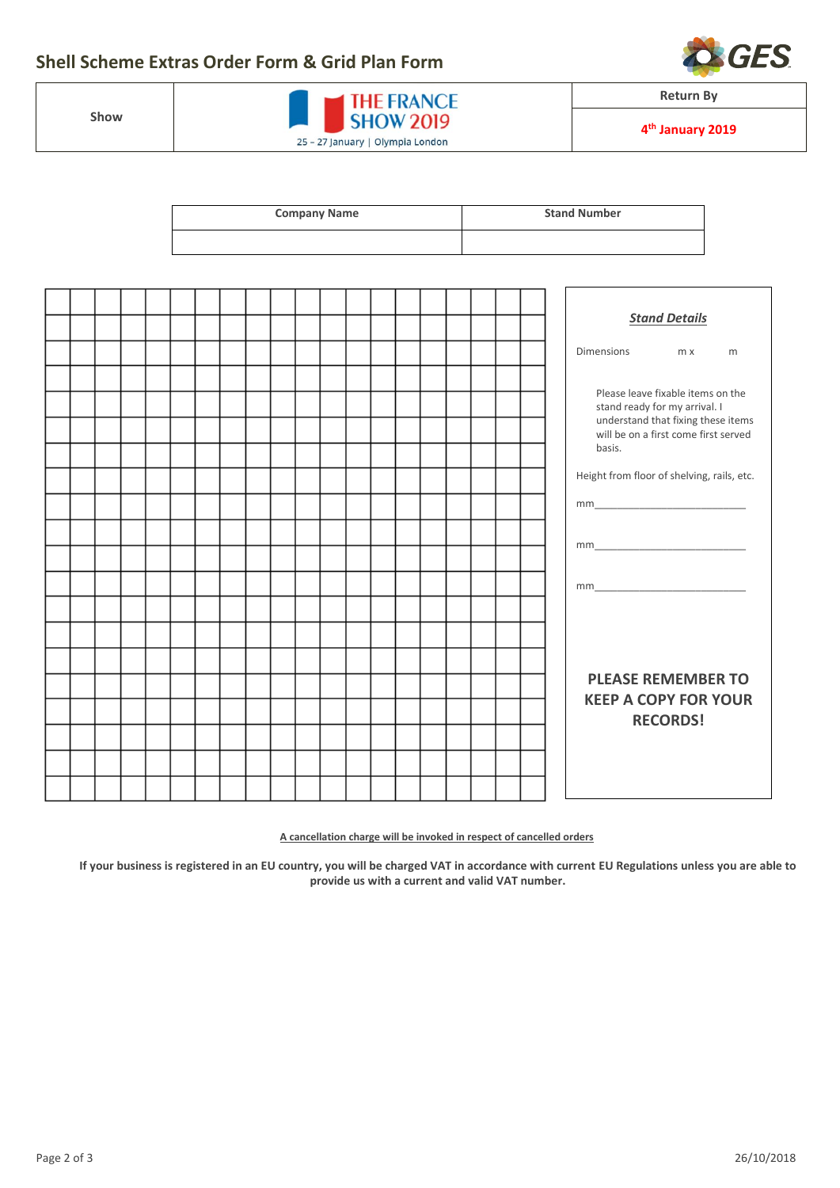## **Shell Scheme Extras Order Form & Grid Plan Form**

**Show**

| <b>THE FRANCE</b><br><b>SHOW 2019</b> |
|---------------------------------------|
| 25 - 27 January   Olympia London      |

| <b>Company Name</b> | <b>Stand Number</b> |
|---------------------|---------------------|
|                     |                     |

|  |  |  |  |  |  |  |  |  |  |  |                                                      | <b>Stand Details</b>                 |   |  |  |
|--|--|--|--|--|--|--|--|--|--|--|------------------------------------------------------|--------------------------------------|---|--|--|
|  |  |  |  |  |  |  |  |  |  |  |                                                      |                                      |   |  |  |
|  |  |  |  |  |  |  |  |  |  |  | Dimensions                                           | m x                                  | m |  |  |
|  |  |  |  |  |  |  |  |  |  |  |                                                      |                                      |   |  |  |
|  |  |  |  |  |  |  |  |  |  |  | Please leave fixable items on the                    |                                      |   |  |  |
|  |  |  |  |  |  |  |  |  |  |  |                                                      | stand ready for my arrival. I        |   |  |  |
|  |  |  |  |  |  |  |  |  |  |  |                                                      | understand that fixing these items   |   |  |  |
|  |  |  |  |  |  |  |  |  |  |  |                                                      | will be on a first come first served |   |  |  |
|  |  |  |  |  |  |  |  |  |  |  | basis.<br>Height from floor of shelving, rails, etc. |                                      |   |  |  |
|  |  |  |  |  |  |  |  |  |  |  |                                                      |                                      |   |  |  |
|  |  |  |  |  |  |  |  |  |  |  | $mm$                                                 |                                      |   |  |  |
|  |  |  |  |  |  |  |  |  |  |  |                                                      |                                      |   |  |  |
|  |  |  |  |  |  |  |  |  |  |  |                                                      |                                      |   |  |  |
|  |  |  |  |  |  |  |  |  |  |  |                                                      |                                      |   |  |  |
|  |  |  |  |  |  |  |  |  |  |  |                                                      |                                      |   |  |  |
|  |  |  |  |  |  |  |  |  |  |  |                                                      |                                      |   |  |  |
|  |  |  |  |  |  |  |  |  |  |  |                                                      |                                      |   |  |  |
|  |  |  |  |  |  |  |  |  |  |  |                                                      |                                      |   |  |  |
|  |  |  |  |  |  |  |  |  |  |  |                                                      |                                      |   |  |  |
|  |  |  |  |  |  |  |  |  |  |  |                                                      |                                      |   |  |  |
|  |  |  |  |  |  |  |  |  |  |  |                                                      |                                      |   |  |  |
|  |  |  |  |  |  |  |  |  |  |  |                                                      | <b>PLEASE REMEMBER TO</b>            |   |  |  |
|  |  |  |  |  |  |  |  |  |  |  | <b>KEEP A COPY FOR YOUR</b><br><b>RECORDS!</b>       |                                      |   |  |  |
|  |  |  |  |  |  |  |  |  |  |  |                                                      |                                      |   |  |  |
|  |  |  |  |  |  |  |  |  |  |  |                                                      |                                      |   |  |  |
|  |  |  |  |  |  |  |  |  |  |  |                                                      |                                      |   |  |  |
|  |  |  |  |  |  |  |  |  |  |  |                                                      |                                      |   |  |  |
|  |  |  |  |  |  |  |  |  |  |  |                                                      |                                      |   |  |  |
|  |  |  |  |  |  |  |  |  |  |  |                                                      |                                      |   |  |  |

**A cancellation charge will be invoked in respect of cancelled orders**

**If your business is registered in an EU country, you will be charged VAT in accordance with curren[t EU Regulations](http://europa.eu/business/vat-customs/index_en.htm) unless you are able to provide us with a current and valid VAT number.**



**Return By**

**4 th January 2019**